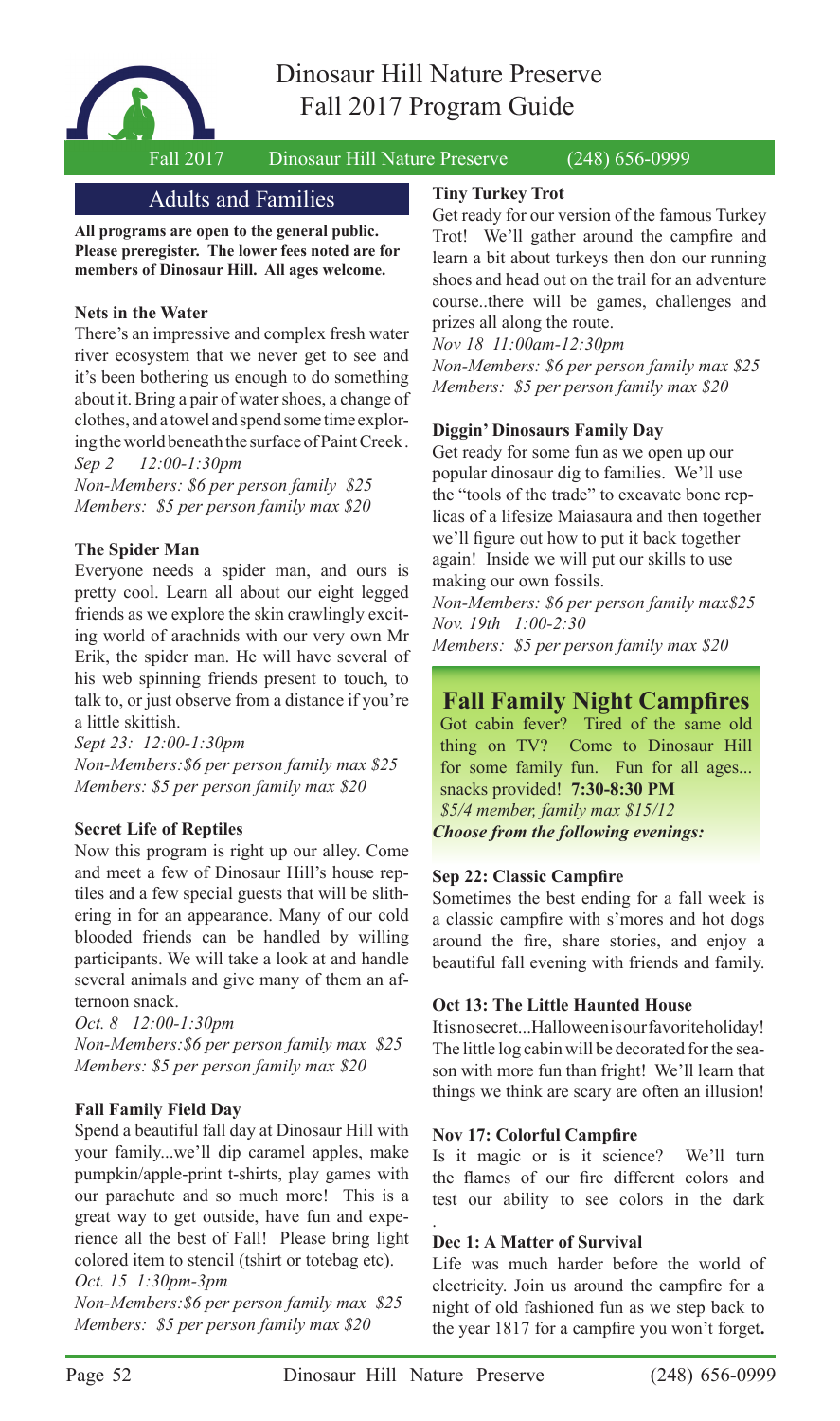

Fall 2017 Dinosaur Hill Nature Preserve (248) 656-0999

## Adults and Families

**All programs are open to the general public. Please preregister. The lower fees noted are for members of Dinosaur Hill. All ages welcome.**

## **Nets in the Water**

There's an impressive and complex fresh water river ecosystem that we never get to see and it's been bothering us enough to do something about it. Bring a pair of water shoes, a change of clothes, and a towel and spend some time exploring the world beneath the surface of Paint Creek . *Sep 2 12:00-1:30pm*

*Non-Members: \$6 per person family \$25 Members: \$5 per person family max \$20*

## **The Spider Man**

Everyone needs a spider man, and ours is pretty cool. Learn all about our eight legged friends as we explore the skin crawlingly exciting world of arachnids with our very own Mr Erik, the spider man. He will have several of his web spinning friends present to touch, to talk to, or just observe from a distance if you're a little skittish.

*Sept 23: 12:00-1:30pm Non-Members:\$6 per person family max \$25 Members: \$5 per person family max \$20*

## **Secret Life of Reptiles**

Now this program is right up our alley. Come and meet a few of Dinosaur Hill's house reptiles and a few special guests that will be slithering in for an appearance. Many of our cold blooded friends can be handled by willing participants. We will take a look at and handle several animals and give many of them an afternoon snack.

*Oct. 8 12:00-1:30pm Non-Members:\$6 per person family max \$25 Members: \$5 per person family max \$20*

## **Fall Family Field Day**

Spend a beautiful fall day at Dinosaur Hill with your family...we'll dip caramel apples, make pumpkin/apple-print t-shirts, play games with our parachute and so much more! This is a great way to get outside, have fun and experience all the best of Fall! Please bring light colored item to stencil (tshirt or totebag etc).

#### *Oct. 15 1:30pm-3pm*

*Non-Members:\$6 per person family max \$25 Members: \$5 per person family max \$20*

### **Tiny Turkey Trot**

Get ready for our version of the famous Turkey Trot! We'll gather around the campfire and learn a bit about turkeys then don our running shoes and head out on the trail for an adventure course..there will be games, challenges and prizes all along the route.

*Nov 18 11:00am-12:30pm* 

*Non-Members: \$6 per person family max \$25 Members: \$5 per person family max \$20*

## **Diggin' Dinosaurs Family Day**

Get ready for some fun as we open up our popular dinosaur dig to families. We'll use the "tools of the trade" to excavate bone replicas of a lifesize Maiasaura and then together we'll figure out how to put it back together again! Inside we will put our skills to use making our own fossils.

*Non-Members: \$6 per person family max\$25 Nov. 19th 1:00-2:30* 

*Members: \$5 per person family max \$20*

# **Fall Family Night Campfires**

Got cabin fever? Tired of the same old thing on TV? Come to Dinosaur Hill for some family fun. Fun for all ages... snacks provided! **7:30-8:30 PM** *\$5/4 member, family max \$15/12 Choose from the following evenings:*

## **Sep 22: Classic Campfire**

Sometimes the best ending for a fall week is a classic campfire with s'mores and hot dogs around the fire, share stories, and enjoy a beautiful fall evening with friends and family.

## **Oct 13: The Little Haunted House**

Itisnosecret...Halloween is our favorite holiday! The little log cabin will be decorated for the season with more fun than fright! We'll learn that things we think are scary are often an illusion!

## **Nov 17: Colorful Campfire**

Is it magic or is it science? We'll turn the flames of our fire different colors and test our ability to see colors in the dark

## **Dec 1: A Matter of Survival**

Life was much harder before the world of electricity. Join us around the campfire for a night of old fashioned fun as we step back to the year 1817 for a campfire you won't forget.

.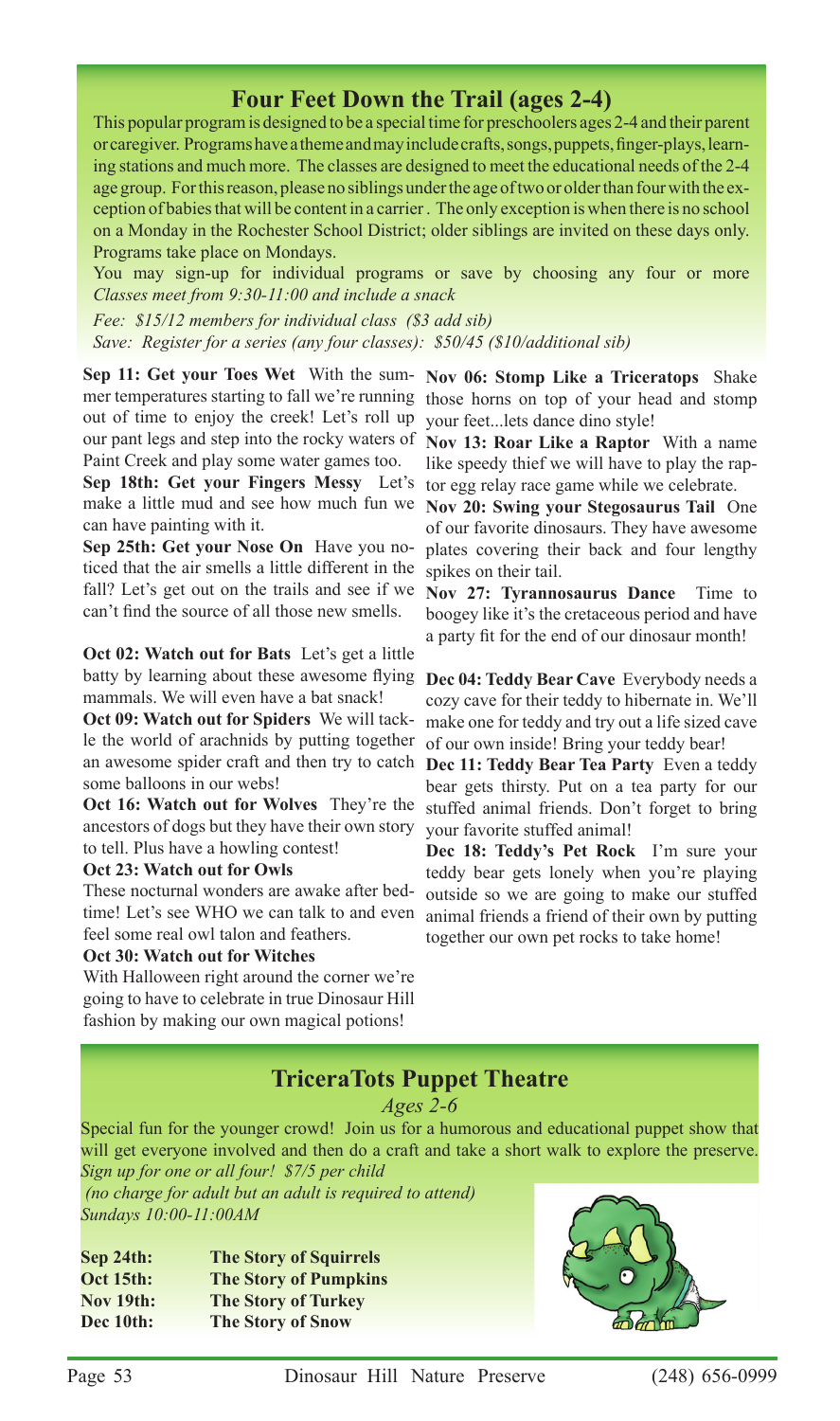# **Four Feet Down the Trail (ages 2-4)**

This popular program is designed to be a special time for preschoolers ages 2-4 and their parent or caregiver. Programs have a theme and may include crafts, songs, puppets, finger-plays, learning stations and much more. The classes are designed to meet the educational needs of the 2-4 age group. For this reason, please no siblings under the age of two or older than four with the exception of babies that will be content in a carrier . The only exception is when there is no school on a Monday in the Rochester School District; older siblings are invited on these days only. Programs take place on Mondays.

You may sign-up for individual programs or save by choosing any four or more *Classes meet from 9:30-11:00 and include a snack*

*Fee: \$15/12 members for individual class (\$3 add sib) Save: Register for a series (any four classes): \$50/45 (\$10/additional sib)*

**Sep 11: Get your Toes Wet** With the sum-**Nov 06: Stomp Like a Triceratops** Shake mer temperatures starting to fall we're running those horns on top of your head and stomp out of time to enjoy the creek! Let's roll up your feet...lets dance dino style! our pant legs and step into the rocky waters of **Nov 13: Roar Like a Raptor** With a name Paint Creek and play some water games too.

**Sep 18th: Get your Fingers Messy** Let's tor egg relay race game while we celebrate. make a little mud and see how much fun we **Nov 20: Swing your Stegosaurus Tail** One can have painting with it.

**Sep 25th: Get your Nose On** Have you noticed that the air smells a little different in the fall? Let's get out on the trails and see if we can't find the source of all those new smells.

**Oct 02: Watch out for Bats** Let's get a little batty by learning about these awesome flying mammals. We will even have a bat snack!

**Oct 09: Watch out for Spiders** We will tackle the world of arachnids by putting together of our own inside! Bring your teddy bear! an awesome spider craft and then try to catch **Dec 11: Teddy Bear Tea Party** Even a teddy some balloons in our webs!

ancestors of dogs but they have their own story to tell. Plus have a howling contest!

#### **Oct 23: Watch out for Owls**

These nocturnal wonders are awake after bedfeel some real owl talon and feathers.

#### **Oct 30: Watch out for Witches**

With Halloween right around the corner we're going to have to celebrate in true Dinosaur Hill fashion by making our own magical potions!

like speedy thief we will have to play the rap-

of our favorite dinosaurs. They have awesome plates covering their back and four lengthy spikes on their tail.

**Nov 27: Tyrannosaurus Dance** Time to boogey like it's the cretaceous period and have a party fit for the end of our dinosaur month!

**Dec 04: Teddy Bear Cave** Everybody needs a cozy cave for their teddy to hibernate in. We'll make one for teddy and try out a life sized cave

Oct 16: Watch out for Wolves They're the stuffed animal friends. Don't forget to bring bear gets thirsty. Put on a tea party for our your favorite stuffed animal!

time! Let's see WHO we can talk to and even animal friends a friend of their own by putting **Dec 18: Teddy's Pet Rock** I'm sure your teddy bear gets lonely when you're playing outside so we are going to make our stuffed together our own pet rocks to take home!

# **TriceraTots Puppet Theatre**

*Ages 2-6*

Special fun for the younger crowd! Join us for a humorous and educational puppet show that will get everyone involved and then do a craft and take a short walk to explore the preserve. *Sign up for one or all four! \$7/5 per child*

 *(no charge for adult but an adult is required to attend) Sundays 10:00-11:00AM*

| Sep 24th:        | <b>The Story of Squirrels</b> |
|------------------|-------------------------------|
| <b>Oct 15th:</b> | <b>The Story of Pumpkins</b>  |
| <b>Nov 19th:</b> | <b>The Story of Turkey</b>    |
| Dec 10th:        | <b>The Story of Snow</b>      |

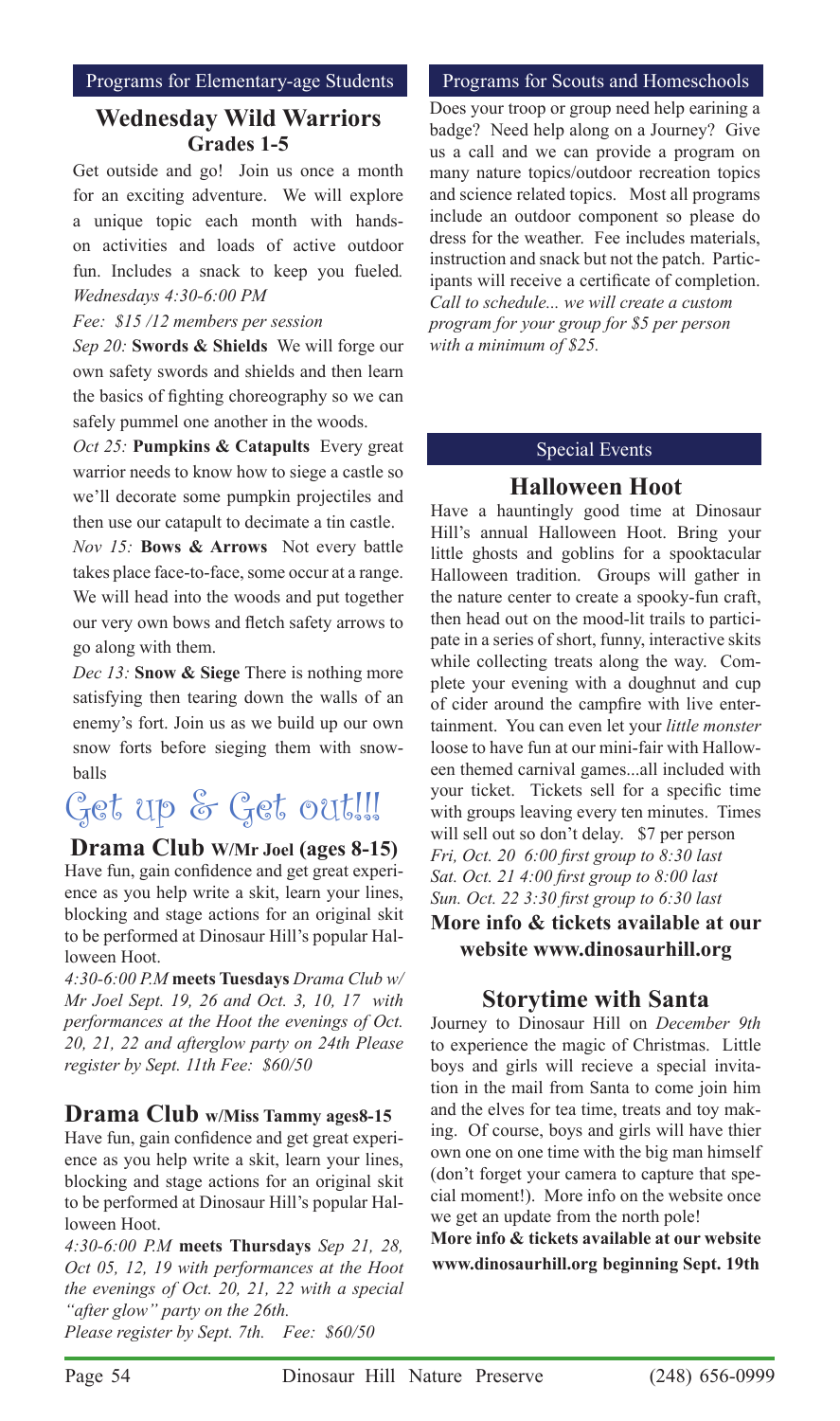# **Wednesday Wild Warriors Grades 1-5**

Get outside and go! Join us once a month for an exciting adventure. We will explore a unique topic each month with handson activities and loads of active outdoor fun. Includes a snack to keep you fueled*. Wednesdays 4:30-6:00 PM* 

## *Fee: \$15 /12 members per session*

*Sep 20:* **Swords & Shields**We will forge our own safety swords and shields and then learn the basics of fighting choreography so we can safely pummel one another in the woods.

*Oct 25:* **Pumpkins & Catapults** Every great warrior needs to know how to siege a castle so we'll decorate some pumpkin projectiles and then use our catapult to decimate a tin castle.

*Nov 15:* **Bows & Arrows**Not every battle takes place face-to-face, some occur at a range. We will head into the woods and put together our very own bows and fletch safety arrows to go along with them.

*Dec 13:* **Snow & Siege** There is nothing more satisfying then tearing down the walls of an enemy's fort. Join us as we build up our own snow forts before sieging them with snowballs

# Get up & Get out!!!

## **Drama Club W/Mr Joel (ages 8-15)**

Have fun, gain confidence and get great experience as you help write a skit, learn your lines, blocking and stage actions for an original skit to be performed at Dinosaur Hill's popular Halloween Hoot.

*4:30-6:00 P.M* **meets Tuesdays** *Drama Club w/ Mr Joel Sept. 19, 26 and Oct. 3, 10, 17 with performances at the Hoot the evenings of Oct. 20, 21, 22 and afterglow party on 24th Please register by Sept. 11th Fee: \$60/50*

## **Drama Club w/Miss Tammy ages8-15**

Have fun, gain confidence and get great experience as you help write a skit, learn your lines, blocking and stage actions for an original skit to be performed at Dinosaur Hill's popular Halloween Hoot.

*4:30-6:00 P.M* **meets Thursdays** *Sep 21, 28, Oct 05, 12, 19 with performances at the Hoot the evenings of Oct. 20, 21, 22 with a special "after glow" party on the 26th. Please register by Sept. 7th. Fee: \$60/50*

#### Programs for Scouts and Homeschools

Does your troop or group need help earining a badge? Need help along on a Journey? Give us a call and we can provide a program on many nature topics/outdoor recreation topics and science related topics. Most all programs include an outdoor component so please do dress for the weather. Fee includes materials, instruction and snack but not the patch. Participants will receive a certificate of completion. *Call to schedule... we will create a custom program for your group for \$5 per person with a minimum of \$25.*

## Special Events

# **Halloween Hoot**

Have a hauntingly good time at Dinosaur Hill's annual Halloween Hoot. Bring your little ghosts and goblins for a spooktacular Halloween tradition. Groups will gather in the nature center to create a spooky-fun craft, then head out on the mood-lit trails to participate in a series of short, funny, interactive skits while collecting treats along the way. Complete your evening with a doughnut and cup of cider around the campfire with live entertainment. You can even let your *little monster* loose to have fun at our mini-fair with Halloween themed carnival games...all included with your ticket. Tickets sell for a specific time with groups leaving every ten minutes. Times will sell out so don't delay. \$7 per person *Fri, Oct. 20 6:00 first group to 8:30 last Sat. Oct. 21 4:00 first group to 8:00 last Sun. Oct. 22 3:30 first group to 6:30 last* **More info & tickets available at our website www.dinosaurhill.org** 

# **Storytime with Santa**

Journey to Dinosaur Hill on *December 9th*  to experience the magic of Christmas. Little boys and girls will recieve a special invitation in the mail from Santa to come join him and the elves for tea time, treats and toy making. Of course, boys and girls will have thier own one on one time with the big man himself (don't forget your camera to capture that special moment!). More info on the website once we get an update from the north pole!

**More info & tickets available at our website www.dinosaurhill.org beginning Sept. 19th**